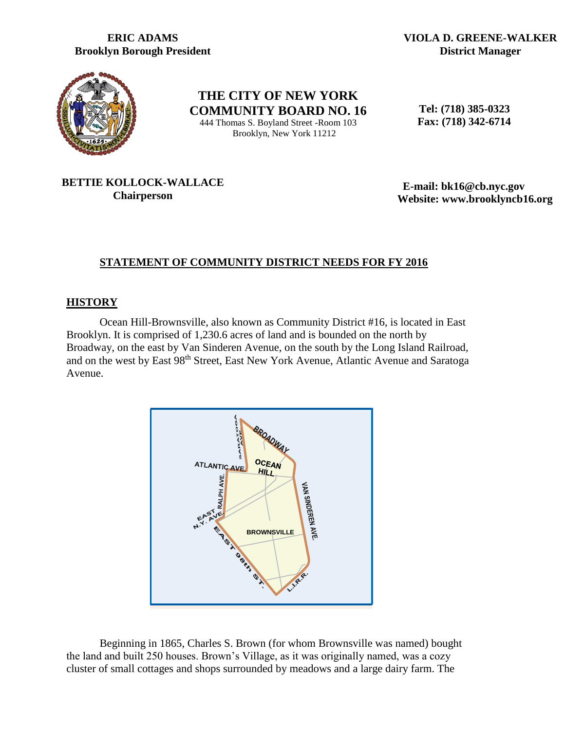## **ERIC ADAMS Brooklyn Borough President**

**VIOLA D. GREENE-WALKER District Manager**



**THE CITY OF NEW YORK COMMUNITY BOARD NO. 16** 444 Thomas S. Boyland Street -Room 103 Brooklyn, New York 11212

 **Tel: (718) 385-0323 Fax: (718) 342-6714**

## **BETTIE KOLLOCK-WALLACE Chairperson**

 **E-mail: bk16@cb.nyc.gov Website: www.brooklyncb16.org**

# **STATEMENT OF COMMUNITY DISTRICT NEEDS FOR FY 2016**

### **HISTORY**

Ocean Hill-Brownsville, also known as Community District #16, is located in East Brooklyn. It is comprised of 1,230.6 acres of land and is bounded on the north by Broadway, on the east by Van Sinderen Avenue, on the south by the Long Island Railroad, and on the west by East 98th Street, East New York Avenue, Atlantic Avenue and Saratoga Avenue.



Beginning in 1865, Charles S. Brown (for whom Brownsville was named) bought the land and built 250 houses. Brown's Village, as it was originally named, was a cozy cluster of small cottages and shops surrounded by meadows and a large dairy farm. The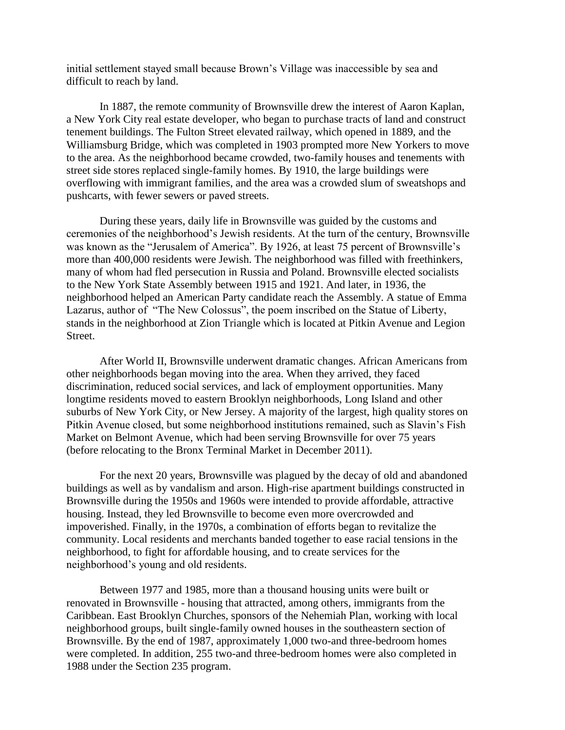initial settlement stayed small because Brown's Village was inaccessible by sea and difficult to reach by land.

In 1887, the remote community of Brownsville drew the interest of Aaron Kaplan, a New York City real estate developer, who began to purchase tracts of land and construct tenement buildings. The Fulton Street elevated railway, which opened in 1889, and the Williamsburg Bridge, which was completed in 1903 prompted more New Yorkers to move to the area. As the neighborhood became crowded, two-family houses and tenements with street side stores replaced single-family homes. By 1910, the large buildings were overflowing with immigrant families, and the area was a crowded slum of sweatshops and pushcarts, with fewer sewers or paved streets.

During these years, daily life in Brownsville was guided by the customs and ceremonies of the neighborhood's Jewish residents. At the turn of the century, Brownsville was known as the "Jerusalem of America". By 1926, at least 75 percent of Brownsville's more than 400,000 residents were Jewish. The neighborhood was filled with freethinkers, many of whom had fled persecution in Russia and Poland. Brownsville elected socialists to the New York State Assembly between 1915 and 1921. And later, in 1936, the neighborhood helped an American Party candidate reach the Assembly. A statue of Emma Lazarus, author of "The New Colossus", the poem inscribed on the Statue of Liberty, stands in the neighborhood at Zion Triangle which is located at Pitkin Avenue and Legion Street.

After World II, Brownsville underwent dramatic changes. African Americans from other neighborhoods began moving into the area. When they arrived, they faced discrimination, reduced social services, and lack of employment opportunities. Many longtime residents moved to eastern Brooklyn neighborhoods, Long Island and other suburbs of New York City, or New Jersey. A majority of the largest, high quality stores on Pitkin Avenue closed, but some neighborhood institutions remained, such as Slavin's Fish Market on Belmont Avenue, which had been serving Brownsville for over 75 years (before relocating to the Bronx Terminal Market in December 2011).

For the next 20 years, Brownsville was plagued by the decay of old and abandoned buildings as well as by vandalism and arson. High-rise apartment buildings constructed in Brownsville during the 1950s and 1960s were intended to provide affordable, attractive housing. Instead, they led Brownsville to become even more overcrowded and impoverished. Finally, in the 1970s, a combination of efforts began to revitalize the community. Local residents and merchants banded together to ease racial tensions in the neighborhood, to fight for affordable housing, and to create services for the neighborhood's young and old residents.

Between 1977 and 1985, more than a thousand housing units were built or renovated in Brownsville - housing that attracted, among others, immigrants from the Caribbean. East Brooklyn Churches, sponsors of the Nehemiah Plan, working with local neighborhood groups, built single-family owned houses in the southeastern section of Brownsville. By the end of 1987, approximately 1,000 two-and three-bedroom homes were completed. In addition, 255 two-and three-bedroom homes were also completed in 1988 under the Section 235 program.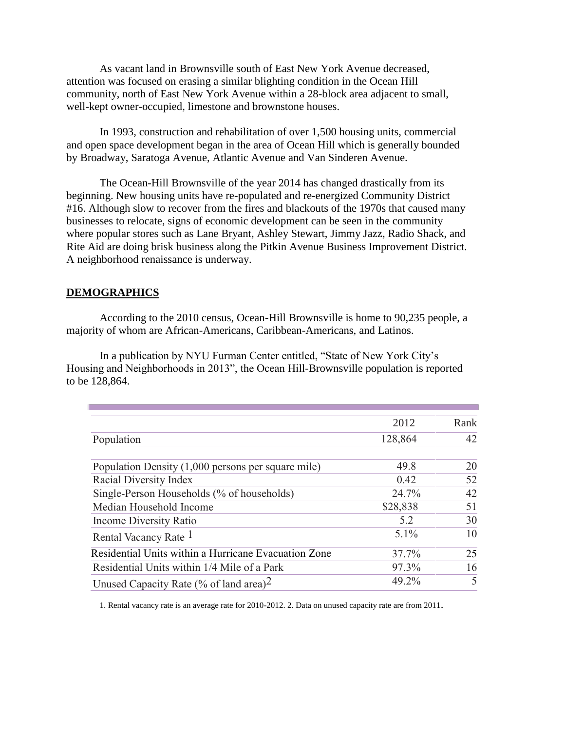As vacant land in Brownsville south of East New York Avenue decreased, attention was focused on erasing a similar blighting condition in the Ocean Hill community, north of East New York Avenue within a 28-block area adjacent to small, well-kept owner-occupied, limestone and brownstone houses.

In 1993, construction and rehabilitation of over 1,500 housing units, commercial and open space development began in the area of Ocean Hill which is generally bounded by Broadway, Saratoga Avenue, Atlantic Avenue and Van Sinderen Avenue.

The Ocean-Hill Brownsville of the year 2014 has changed drastically from its beginning. New housing units have re-populated and re-energized Community District #16. Although slow to recover from the fires and blackouts of the 1970s that caused many businesses to relocate, signs of economic development can be seen in the community where popular stores such as Lane Bryant, Ashley Stewart, Jimmy Jazz, Radio Shack, and Rite Aid are doing brisk business along the Pitkin Avenue Business Improvement District. A neighborhood renaissance is underway.

#### **DEMOGRAPHICS**

According to the 2010 census, Ocean-Hill Brownsville is home to 90,235 people, a majority of whom are African-Americans, Caribbean-Americans, and Latinos.

In a publication by NYU Furman Center entitled, "State of New York City's Housing and Neighborhoods in 2013", the Ocean Hill-Brownsville population is reported to be 128,864.

|                                                      | 2012     | Rank |
|------------------------------------------------------|----------|------|
| Population                                           | 128,864  | 42   |
| Population Density (1,000 persons per square mile)   | 49.8     | 20   |
| Racial Diversity Index                               | 0.42     | 52   |
| Single-Person Households (% of households)           | 24.7%    | 42   |
| Median Household Income                              | \$28,838 | 51   |
| Income Diversity Ratio                               | 5.2      | 30   |
| Rental Vacancy Rate <sup>1</sup>                     | $5.1\%$  | 10   |
| Residential Units within a Hurricane Evacuation Zone | 37.7%    | 25   |
| Residential Units within 1/4 Mile of a Park          | 97.3%    | 16   |
| Unused Capacity Rate (% of land area) <sup>2</sup>   | 49.2%    | 5    |

1. Rental vacancy rate is an average rate for 2010-2012. 2. Data on unused capacity rate are from 2011.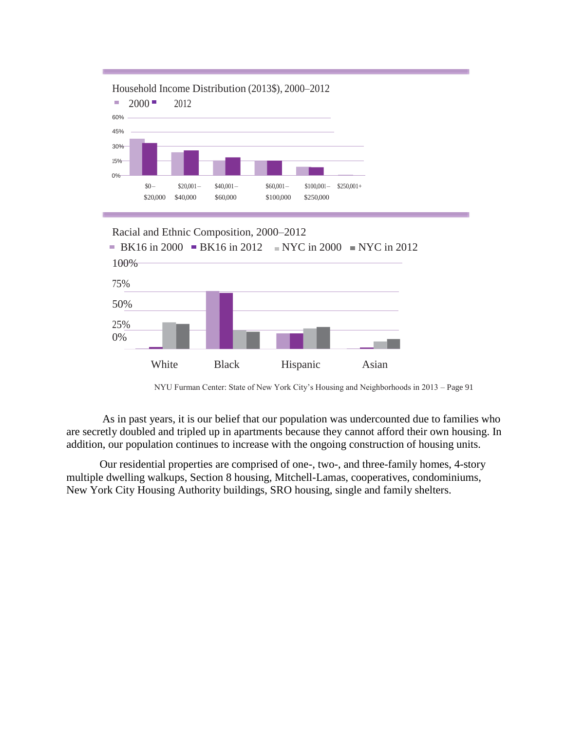

Racial and Ethnic Composition, 2000–2012



NYU Furman Center: State of New York City's Housing and Neighborhoods in 2013 – Page 91

As in past years, it is our belief that our population was undercounted due to families who are secretly doubled and tripled up in apartments because they cannot afford their own housing. In addition, our population continues to increase with the ongoing construction of housing units.

Our residential properties are comprised of one-, two-, and three-family homes, 4-story multiple dwelling walkups, Section 8 housing, Mitchell-Lamas, cooperatives, condominiums, New York City Housing Authority buildings, SRO housing, single and family shelters.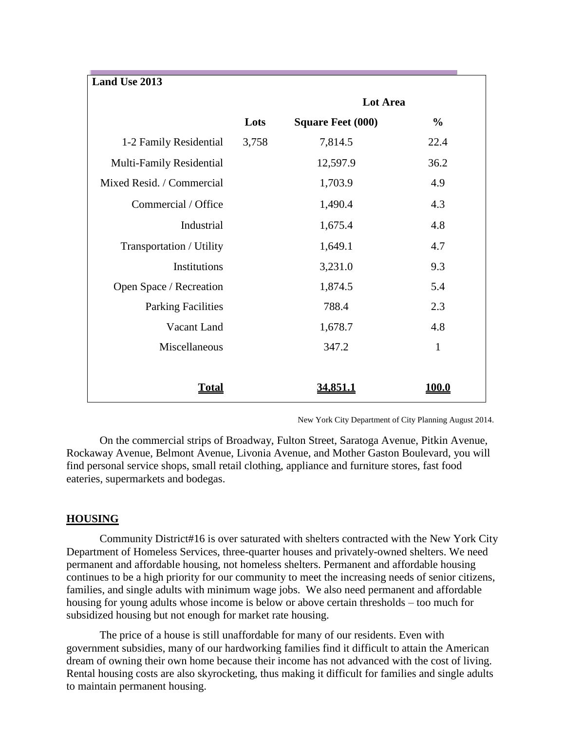| Land Use 2013             |       |                          |               |
|---------------------------|-------|--------------------------|---------------|
|                           |       | <b>Lot Area</b>          |               |
|                           | Lots  | <b>Square Feet (000)</b> | $\frac{0}{0}$ |
| 1-2 Family Residential    | 3,758 | 7,814.5                  | 22.4          |
| Multi-Family Residential  |       | 12,597.9                 | 36.2          |
| Mixed Resid. / Commercial |       | 1,703.9                  | 4.9           |
| Commercial / Office       |       | 1,490.4                  | 4.3           |
| Industrial                |       | 1,675.4                  | 4.8           |
| Transportation / Utility  |       | 1,649.1                  | 4.7           |
| Institutions              |       | 3,231.0                  | 9.3           |
| Open Space / Recreation   |       | 1,874.5                  | 5.4           |
| <b>Parking Facilities</b> |       | 788.4                    | 2.3           |
| Vacant Land               |       | 1,678.7                  | 4.8           |
| Miscellaneous             |       | 347.2                    | $\mathbf{1}$  |
|                           |       |                          |               |
| <u>Total</u>              |       | <u>34,851.1</u>          | <u> 100.0</u> |

New York City Department of City Planning August 2014.

On the commercial strips of Broadway, Fulton Street, Saratoga Avenue, Pitkin Avenue, Rockaway Avenue, Belmont Avenue, Livonia Avenue, and Mother Gaston Boulevard, you will find personal service shops, small retail clothing, appliance and furniture stores, fast food eateries, supermarkets and bodegas.

#### **HOUSING**

Community District#16 is over saturated with shelters contracted with the New York City Department of Homeless Services, three-quarter houses and privately-owned shelters. We need permanent and affordable housing, not homeless shelters. Permanent and affordable housing continues to be a high priority for our community to meet the increasing needs of senior citizens, families, and single adults with minimum wage jobs. We also need permanent and affordable housing for young adults whose income is below or above certain thresholds – too much for subsidized housing but not enough for market rate housing.

The price of a house is still unaffordable for many of our residents. Even with government subsidies, many of our hardworking families find it difficult to attain the American dream of owning their own home because their income has not advanced with the cost of living. Rental housing costs are also skyrocketing, thus making it difficult for families and single adults to maintain permanent housing.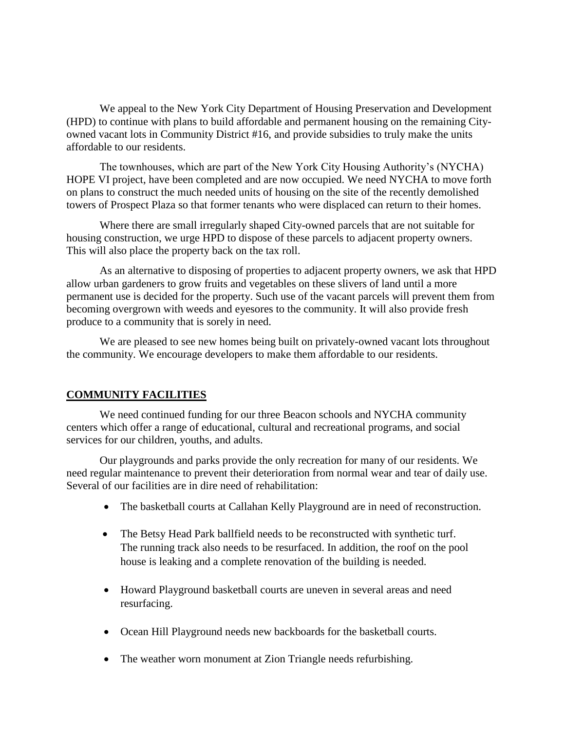We appeal to the New York City Department of Housing Preservation and Development (HPD) to continue with plans to build affordable and permanent housing on the remaining Cityowned vacant lots in Community District #16, and provide subsidies to truly make the units affordable to our residents.

The townhouses, which are part of the New York City Housing Authority's (NYCHA) HOPE VI project, have been completed and are now occupied. We need NYCHA to move forth on plans to construct the much needed units of housing on the site of the recently demolished towers of Prospect Plaza so that former tenants who were displaced can return to their homes.

Where there are small irregularly shaped City-owned parcels that are not suitable for housing construction, we urge HPD to dispose of these parcels to adjacent property owners. This will also place the property back on the tax roll.

As an alternative to disposing of properties to adjacent property owners, we ask that HPD allow urban gardeners to grow fruits and vegetables on these slivers of land until a more permanent use is decided for the property. Such use of the vacant parcels will prevent them from becoming overgrown with weeds and eyesores to the community. It will also provide fresh produce to a community that is sorely in need.

We are pleased to see new homes being built on privately-owned vacant lots throughout the community. We encourage developers to make them affordable to our residents.

### **COMMUNITY FACILITIES**

We need continued funding for our three Beacon schools and NYCHA community centers which offer a range of educational, cultural and recreational programs, and social services for our children, youths, and adults.

Our playgrounds and parks provide the only recreation for many of our residents. We need regular maintenance to prevent their deterioration from normal wear and tear of daily use. Several of our facilities are in dire need of rehabilitation:

- The basketball courts at Callahan Kelly Playground are in need of reconstruction.
- The Betsy Head Park ballfield needs to be reconstructed with synthetic turf. The running track also needs to be resurfaced. In addition, the roof on the pool house is leaking and a complete renovation of the building is needed.
- Howard Playground basketball courts are uneven in several areas and need resurfacing.
- Ocean Hill Playground needs new backboards for the basketball courts.
- The weather worn monument at Zion Triangle needs refurbishing.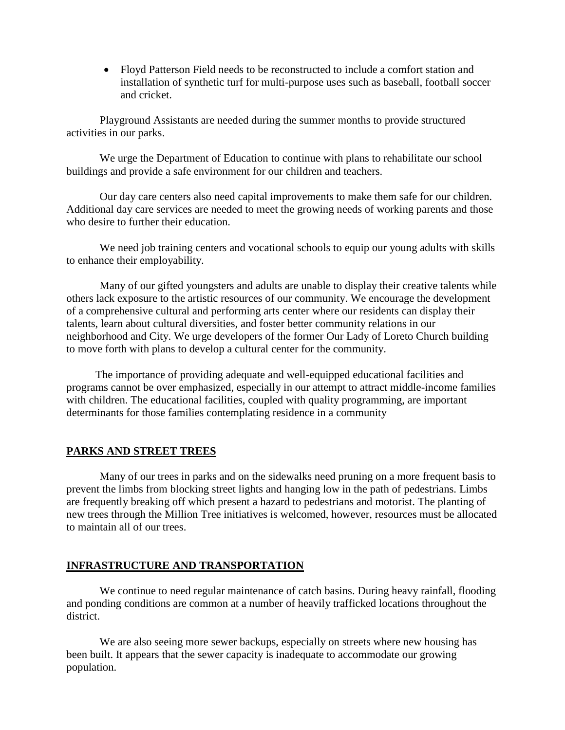Floyd Patterson Field needs to be reconstructed to include a comfort station and installation of synthetic turf for multi-purpose uses such as baseball, football soccer and cricket.

Playground Assistants are needed during the summer months to provide structured activities in our parks.

We urge the Department of Education to continue with plans to rehabilitate our school buildings and provide a safe environment for our children and teachers.

Our day care centers also need capital improvements to make them safe for our children. Additional day care services are needed to meet the growing needs of working parents and those who desire to further their education.

We need job training centers and vocational schools to equip our young adults with skills to enhance their employability.

Many of our gifted youngsters and adults are unable to display their creative talents while others lack exposure to the artistic resources of our community. We encourage the development of a comprehensive cultural and performing arts center where our residents can display their talents, learn about cultural diversities, and foster better community relations in our neighborhood and City. We urge developers of the former Our Lady of Loreto Church building to move forth with plans to develop a cultural center for the community.

The importance of providing adequate and well-equipped educational facilities and programs cannot be over emphasized, especially in our attempt to attract middle-income families with children. The educational facilities, coupled with quality programming, are important determinants for those families contemplating residence in a community

### **PARKS AND STREET TREES**

Many of our trees in parks and on the sidewalks need pruning on a more frequent basis to prevent the limbs from blocking street lights and hanging low in the path of pedestrians. Limbs are frequently breaking off which present a hazard to pedestrians and motorist. The planting of new trees through the Million Tree initiatives is welcomed, however, resources must be allocated to maintain all of our trees.

### **INFRASTRUCTURE AND TRANSPORTATION**

We continue to need regular maintenance of catch basins. During heavy rainfall, flooding and ponding conditions are common at a number of heavily trafficked locations throughout the district.

We are also seeing more sewer backups, especially on streets where new housing has been built. It appears that the sewer capacity is inadequate to accommodate our growing population.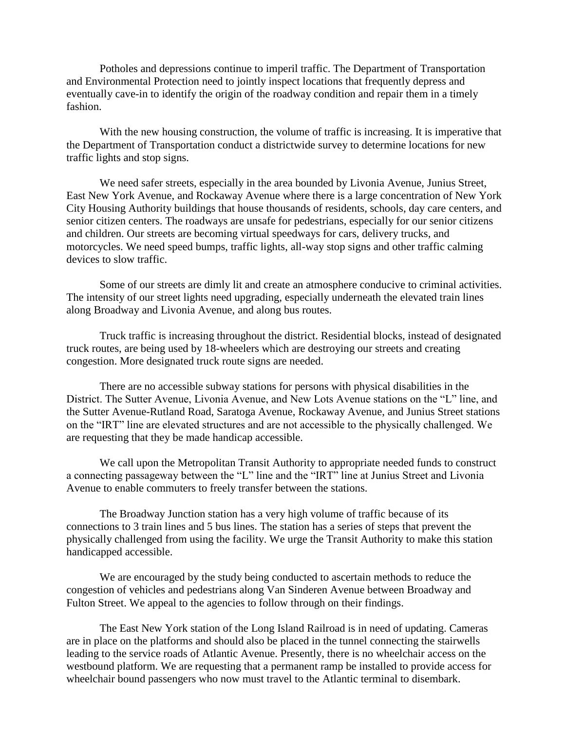Potholes and depressions continue to imperil traffic. The Department of Transportation and Environmental Protection need to jointly inspect locations that frequently depress and eventually cave-in to identify the origin of the roadway condition and repair them in a timely fashion.

With the new housing construction, the volume of traffic is increasing. It is imperative that the Department of Transportation conduct a districtwide survey to determine locations for new traffic lights and stop signs.

We need safer streets, especially in the area bounded by Livonia Avenue, Junius Street, East New York Avenue, and Rockaway Avenue where there is a large concentration of New York City Housing Authority buildings that house thousands of residents, schools, day care centers, and senior citizen centers. The roadways are unsafe for pedestrians, especially for our senior citizens and children. Our streets are becoming virtual speedways for cars, delivery trucks, and motorcycles. We need speed bumps, traffic lights, all-way stop signs and other traffic calming devices to slow traffic.

Some of our streets are dimly lit and create an atmosphere conducive to criminal activities. The intensity of our street lights need upgrading, especially underneath the elevated train lines along Broadway and Livonia Avenue, and along bus routes.

Truck traffic is increasing throughout the district. Residential blocks, instead of designated truck routes, are being used by 18-wheelers which are destroying our streets and creating congestion. More designated truck route signs are needed.

There are no accessible subway stations for persons with physical disabilities in the District. The Sutter Avenue, Livonia Avenue, and New Lots Avenue stations on the "L" line, and the Sutter Avenue-Rutland Road, Saratoga Avenue, Rockaway Avenue, and Junius Street stations on the "IRT" line are elevated structures and are not accessible to the physically challenged. We are requesting that they be made handicap accessible.

We call upon the Metropolitan Transit Authority to appropriate needed funds to construct a connecting passageway between the "L" line and the "IRT" line at Junius Street and Livonia Avenue to enable commuters to freely transfer between the stations.

The Broadway Junction station has a very high volume of traffic because of its connections to 3 train lines and 5 bus lines. The station has a series of steps that prevent the physically challenged from using the facility. We urge the Transit Authority to make this station handicapped accessible.

We are encouraged by the study being conducted to ascertain methods to reduce the congestion of vehicles and pedestrians along Van Sinderen Avenue between Broadway and Fulton Street. We appeal to the agencies to follow through on their findings.

The East New York station of the Long Island Railroad is in need of updating. Cameras are in place on the platforms and should also be placed in the tunnel connecting the stairwells leading to the service roads of Atlantic Avenue. Presently, there is no wheelchair access on the westbound platform. We are requesting that a permanent ramp be installed to provide access for wheelchair bound passengers who now must travel to the Atlantic terminal to disembark.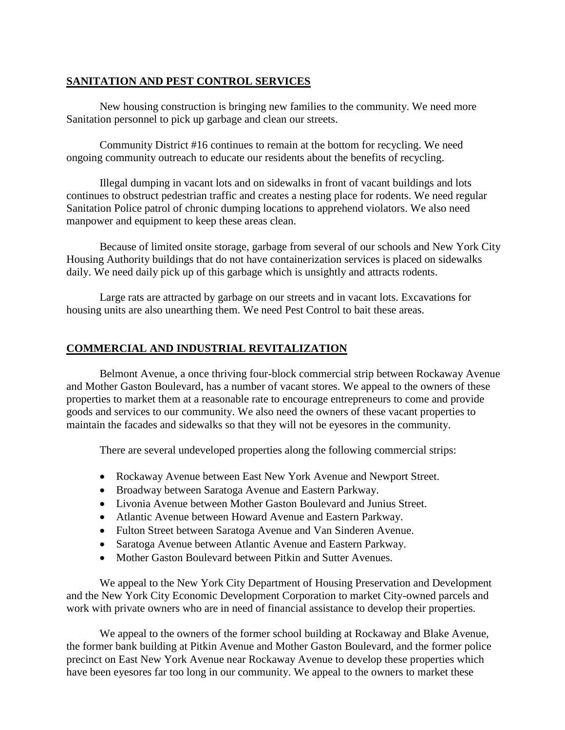## **SANITATION AND PEST CONTROL SERVICES**

New housing construction is bringing new families to the community. We need more Sanitation personnel to pick up garbage and clean our streets.

Community District #16 continues to remain at the bottom for recycling. We need ongoing community outreach to educate our residents about the benefits of recycling.

Illegal dumping in vacant lots and on sidewalks in front of vacant buildings and lots continues to obstruct pedestrian traffic and creates a nesting place for rodents. We need regular Sanitation Police patrol of chronic dumping locations to apprehend violators. We also need manpower and equipment to keep these areas clean.

Because of limited onsite storage, garbage from several of our schools and New York City Housing Authority buildings that do not have containerization services is placed on sidewalks daily. We need daily pick up of this garbage which is unsightly and attracts rodents.

Large rats are attracted by garbage on our streets and in vacant lots. Excavations for housing units are also unearthing them. We need Pest Control to bait these areas.

# **COMMERCIAL AND INDUSTRIAL REVITALIZATION**

Belmont Avenue, a once thriving four-block commercial strip between Rockaway Avenue and Mother Gaston Boulevard, has a number of vacant stores. We appeal to the owners of these properties to market them at a reasonable rate to encourage entrepreneurs to come and provide goods and services to our community. We also need the owners of these vacant properties to maintain the facades and sidewalks so that they will not be eyesores in the community.

There are several undeveloped properties along the following commercial strips:

- Rockaway Avenue between East New York Avenue and Newport Street.
- Broadway between Saratoga Avenue and Eastern Parkway.
- Livonia Avenue between Mother Gaston Boulevard and Junius Street.
- Atlantic Avenue between Howard Avenue and Eastern Parkway.
- Fulton Street between Saratoga Avenue and Van Sinderen Avenue.
- Saratoga Avenue between Atlantic Avenue and Eastern Parkway.
- Mother Gaston Boulevard between Pitkin and Sutter Avenues.

We appeal to the New York City Department of Housing Preservation and Development and the New York City Economic Development Corporation to market City-owned parcels and work with private owners who are in need of financial assistance to develop their properties.

We appeal to the owners of the former school building at Rockaway and Blake Avenue, the former bank building at Pitkin Avenue and Mother Gaston Boulevard, and the former police precinct on East New York Avenue near Rockaway Avenue to develop these properties which have been eyesores far too long in our community. We appeal to the owners to market these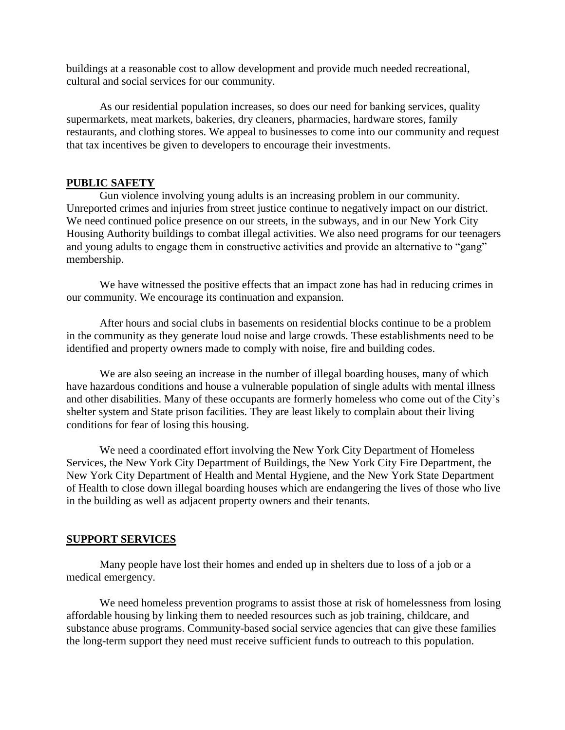buildings at a reasonable cost to allow development and provide much needed recreational, cultural and social services for our community.

As our residential population increases, so does our need for banking services, quality supermarkets, meat markets, bakeries, dry cleaners, pharmacies, hardware stores, family restaurants, and clothing stores. We appeal to businesses to come into our community and request that tax incentives be given to developers to encourage their investments.

#### **PUBLIC SAFETY**

Gun violence involving young adults is an increasing problem in our community. Unreported crimes and injuries from street justice continue to negatively impact on our district. We need continued police presence on our streets, in the subways, and in our New York City Housing Authority buildings to combat illegal activities. We also need programs for our teenagers and young adults to engage them in constructive activities and provide an alternative to "gang" membership.

We have witnessed the positive effects that an impact zone has had in reducing crimes in our community. We encourage its continuation and expansion.

After hours and social clubs in basements on residential blocks continue to be a problem in the community as they generate loud noise and large crowds. These establishments need to be identified and property owners made to comply with noise, fire and building codes.

We are also seeing an increase in the number of illegal boarding houses, many of which have hazardous conditions and house a vulnerable population of single adults with mental illness and other disabilities. Many of these occupants are formerly homeless who come out of the City's shelter system and State prison facilities. They are least likely to complain about their living conditions for fear of losing this housing.

We need a coordinated effort involving the New York City Department of Homeless Services, the New York City Department of Buildings, the New York City Fire Department, the New York City Department of Health and Mental Hygiene, and the New York State Department of Health to close down illegal boarding houses which are endangering the lives of those who live in the building as well as adjacent property owners and their tenants.

### **SUPPORT SERVICES**

Many people have lost their homes and ended up in shelters due to loss of a job or a medical emergency.

We need homeless prevention programs to assist those at risk of homelessness from losing affordable housing by linking them to needed resources such as job training, childcare, and substance abuse programs. Community-based social service agencies that can give these families the long-term support they need must receive sufficient funds to outreach to this population.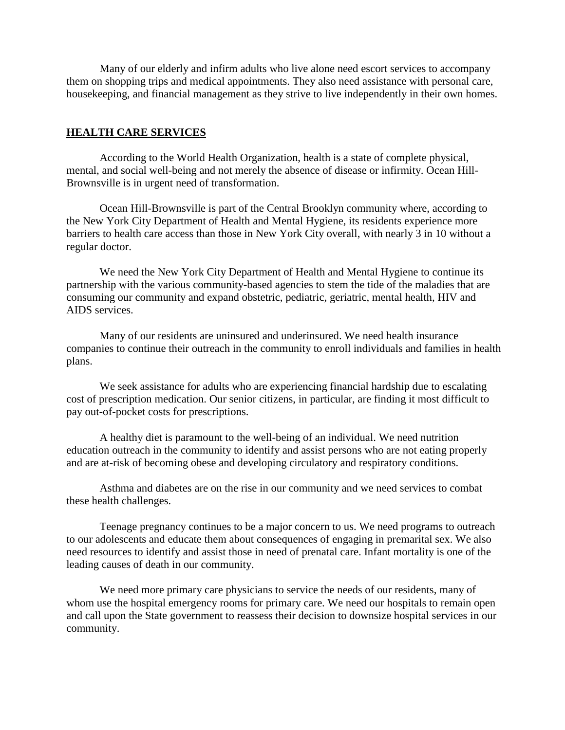Many of our elderly and infirm adults who live alone need escort services to accompany them on shopping trips and medical appointments. They also need assistance with personal care, housekeeping, and financial management as they strive to live independently in their own homes.

#### **HEALTH CARE SERVICES**

According to the World Health Organization, health is a state of complete physical, mental, and social well-being and not merely the absence of disease or infirmity. Ocean Hill-Brownsville is in urgent need of transformation.

Ocean Hill-Brownsville is part of the Central Brooklyn community where, according to the New York City Department of Health and Mental Hygiene, its residents experience more barriers to health care access than those in New York City overall, with nearly 3 in 10 without a regular doctor.

We need the New York City Department of Health and Mental Hygiene to continue its partnership with the various community-based agencies to stem the tide of the maladies that are consuming our community and expand obstetric, pediatric, geriatric, mental health, HIV and AIDS services.

Many of our residents are uninsured and underinsured. We need health insurance companies to continue their outreach in the community to enroll individuals and families in health plans.

We seek assistance for adults who are experiencing financial hardship due to escalating cost of prescription medication. Our senior citizens, in particular, are finding it most difficult to pay out-of-pocket costs for prescriptions.

A healthy diet is paramount to the well-being of an individual. We need nutrition education outreach in the community to identify and assist persons who are not eating properly and are at-risk of becoming obese and developing circulatory and respiratory conditions.

Asthma and diabetes are on the rise in our community and we need services to combat these health challenges.

Teenage pregnancy continues to be a major concern to us. We need programs to outreach to our adolescents and educate them about consequences of engaging in premarital sex. We also need resources to identify and assist those in need of prenatal care. Infant mortality is one of the leading causes of death in our community.

We need more primary care physicians to service the needs of our residents, many of whom use the hospital emergency rooms for primary care. We need our hospitals to remain open and call upon the State government to reassess their decision to downsize hospital services in our community.